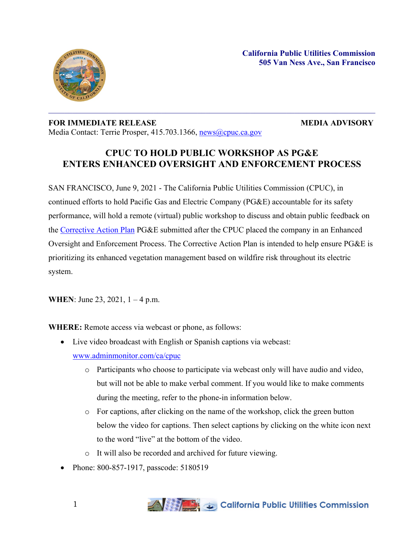

## **FOR IMMEDIATE RELEASE MEDIA ADVISORY** Media Contact: Terrie Prosper, 415.703.1366, [news@cpuc.ca.gov](mailto:news@cpuc.ca.gov)

## **CPUC TO HOLD PUBLIC WORKSHOP AS PG&E ENTERS ENHANCED OVERSIGHT AND ENFORCEMENT PROCESS**

SAN FRANCISCO, June 9, 2021 - The California Public Utilities Commission (CPUC), in continued efforts to hold Pacific Gas and Electric Company (PG&E) accountable for its safety performance, will hold a remote (virtual) public workshop to discuss and obtain public feedback on the [Corrective](https://www.cpuc.ca.gov/uploadedFiles/CPUCWebsite/Content/News_Room/NewsUpdates/2021/PGE%20Corrective%20Action%20Plan_050621.pdf) Action Plan PG&E submitted after the CPUC placed the company in an Enhanced Oversight and Enforcement Process. The Corrective Action Plan is intended to help ensure PG&E is prioritizing its enhanced vegetation management based on wildfire risk throughout its electric system.

**WHEN**: June 23, 2021, 1 – 4 p.m.

**WHERE:** Remote access via webcast or phone, as follows:

Live video broadcast with English or Spanish captions via webcast:

[www.adminmonitor.com/ca/cpuc](http://www.adminmonitor.com/ca/cpuc)

- o Participants who choose to participate via webcast only will have audio and video, but will not be able to make verbal comment. If you would like to make comments during the meeting, refer to the phone-in information below.
- o For captions, after clicking on the name of the workshop, click the green button below the video for captions. Then select captions by clicking on the white icon next to the word "live" at the bottom of the video.
- o It will also be recorded and archived for future viewing.
- Phone: 800-857-1917, passcode: 5180519

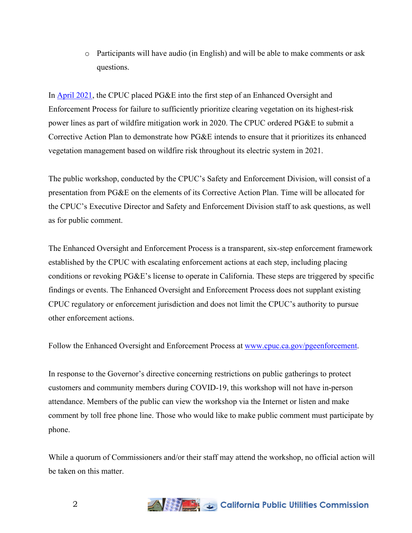o Participants will have audio (in English) and will be able to make comments or ask questions.

In [April](https://docs.cpuc.ca.gov/PublishedDocs/Published/G000/M378/K231/378231374.PDF) 2021, the CPUC placed PG&E into the first step of an Enhanced Oversight and Enforcement Process for failure to sufficiently prioritize clearing vegetation on its highest-risk power lines as part of wildfire mitigation work in 2020. The CPUC ordered PG&E to submit a Corrective Action Plan to demonstrate how PG&E intends to ensure that it prioritizes its enhanced vegetation management based on wildfire risk throughout its electric system in 2021.

The public workshop, conducted by the CPUC's Safety and Enforcement Division, will consist of a presentation from PG&E on the elements of its Corrective Action Plan. Time will be allocated for the CPUC's Executive Director and Safety and Enforcement Division staff to ask questions, as well as for public comment.

The Enhanced Oversight and Enforcement Process is a transparent, six-step enforcement framework established by the CPUC with escalating enforcement actions at each step, including placing conditions or revoking PG&E's license to operate in California. These steps are triggered by specific findings or events. The Enhanced Oversight and Enforcement Process does not supplant existing CPUC regulatory or enforcement jurisdiction and does not limit the CPUC's authority to pursue other enforcement actions.

Follow the Enhanced Oversight and Enforcement Process at [www.cpuc.ca.gov/pgeenforcement.](http://www.cpuc.ca.gov/pgeenforcement)

In response to the Governor's directive concerning restrictions on public gatherings to protect customers and community members during COVID-19, this workshop will not have in-person attendance. Members of the public can view the workshop via the Internet or listen and make comment by toll free phone line. Those who would like to make public comment must participate by phone.

While a quorum of Commissioners and/or their staff may attend the workshop, no official action will be taken on this matter.